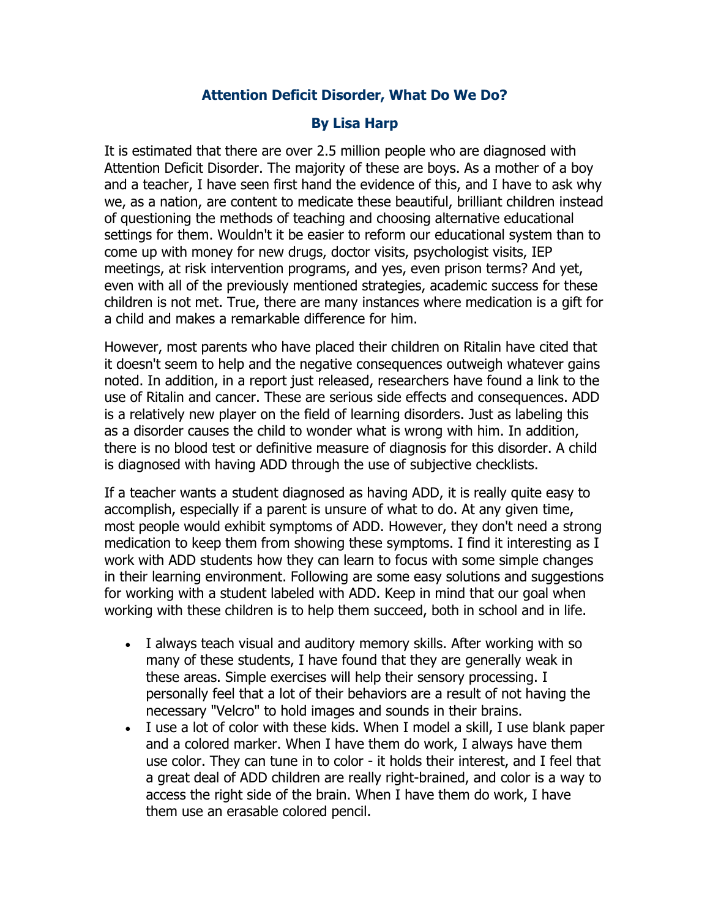## **Attention Deficit Disorder, What Do We Do?**

## **By Lisa Harp**

It is estimated that there are over 2.5 million people who are diagnosed with Attention Deficit Disorder. The majority of these are boys. As a mother of a boy and a teacher, I have seen first hand the evidence of this, and I have to ask why we, as a nation, are content to medicate these beautiful, brilliant children instead of questioning the methods of teaching and choosing alternative educational settings for them. Wouldn't it be easier to reform our educational system than to come up with money for new drugs, doctor visits, psychologist visits, IEP meetings, at risk intervention programs, and yes, even prison terms? And yet, even with all of the previously mentioned strategies, academic success for these children is not met. True, there are many instances where medication is a gift for a child and makes a remarkable difference for him.

However, most parents who have placed their children on Ritalin have cited that it doesn't seem to help and the negative consequences outweigh whatever gains noted. In addition, in a report just released, researchers have found a link to the use of Ritalin and cancer. These are serious side effects and consequences. ADD is a relatively new player on the field of learning disorders. Just as labeling this as a disorder causes the child to wonder what is wrong with him. In addition, there is no blood test or definitive measure of diagnosis for this disorder. A child is diagnosed with having ADD through the use of subjective checklists.

If a teacher wants a student diagnosed as having ADD, it is really quite easy to accomplish, especially if a parent is unsure of what to do. At any given time, most people would exhibit symptoms of ADD. However, they don't need a strong medication to keep them from showing these symptoms. I find it interesting as I work with ADD students how they can learn to focus with some simple changes in their learning environment. Following are some easy solutions and suggestions for working with a student labeled with ADD. Keep in mind that our goal when working with these children is to help them succeed, both in school and in life.

- I always teach visual and auditory memory skills. After working with so many of these students, I have found that they are generally weak in these areas. Simple exercises will help their sensory processing. I personally feel that a lot of their behaviors are a result of not having the necessary "Velcro" to hold images and sounds in their brains.
- I use a lot of color with these kids. When I model a skill, I use blank paper and a colored marker. When I have them do work, I always have them use color. They can tune in to color - it holds their interest, and I feel that a great deal of ADD children are really right-brained, and color is a way to access the right side of the brain. When I have them do work, I have them use an erasable colored pencil.